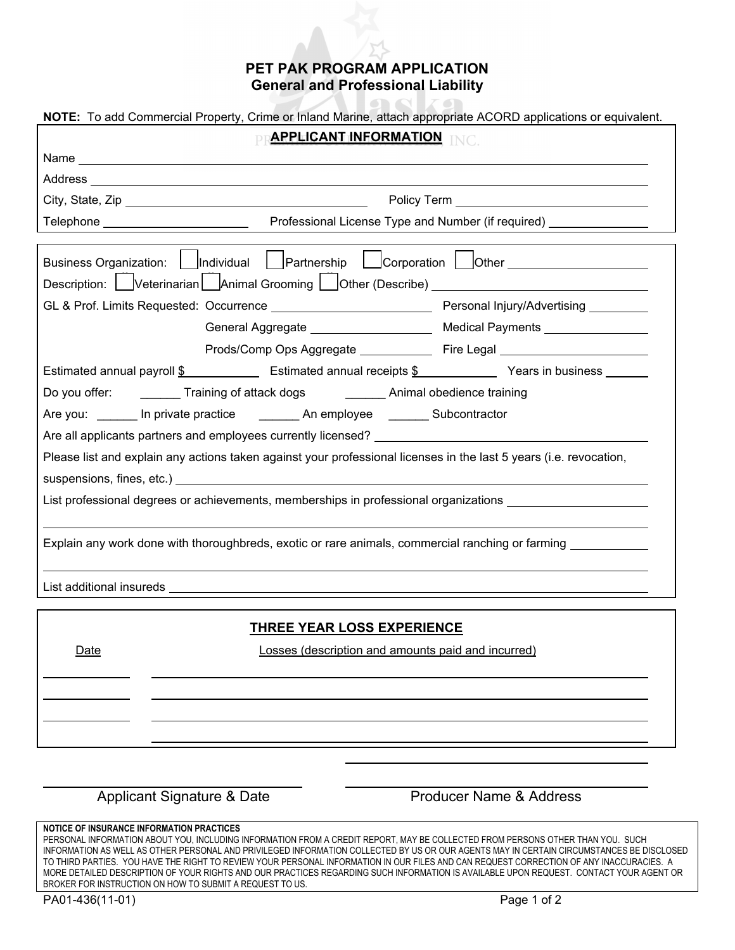## **PET PAK PROGRAM APPLICATION General and Professional Liability**

and a family of the contract of the contract of the contract of the contract of the contract of the contract of the contract of the contract of the contract of the contract of the contract of the contract of the contract o

**TOOL** ZO

| NOTE: To add Commercial Property, Crime or Inland Marine, attach appropriate ACORD applications or equivalent.     |  |
|--------------------------------------------------------------------------------------------------------------------|--|
| PRAPPLICANT INFORMATION INC.                                                                                       |  |
|                                                                                                                    |  |
|                                                                                                                    |  |
|                                                                                                                    |  |
| Telephone _________________________________Professional License Type and Number (if required) _______________      |  |
|                                                                                                                    |  |
|                                                                                                                    |  |
| Description: Uveterinarian Lanimal Grooming Lather (Describe) Lather (Description: 2011                            |  |
|                                                                                                                    |  |
| General Aggregate ________________________ Medical Payments ____________________                                   |  |
| Prods/Comp Ops Aggregate ________________ Fire Legal ___________________________                                   |  |
| Estimated annual payroll \$ Estimated annual receipts \$ Years in business Festimated annual payroll \$            |  |
| Do you offer: _________ Training of attack dogs __________ Animal obedience training                               |  |
| Are you: _______ In private practice __________ An employee ________ Subcontractor                                 |  |
|                                                                                                                    |  |
| Please list and explain any actions taken against your professional licenses in the last 5 years (i.e. revocation, |  |
|                                                                                                                    |  |
| List professional degrees or achievements, memberships in professional organizations _______________               |  |
|                                                                                                                    |  |
| Explain any work done with thoroughbreds, exotic or rare animals, commercial ranching or farming _____________     |  |
|                                                                                                                    |  |
|                                                                                                                    |  |
|                                                                                                                    |  |
| <b>THREE YEAR LOSS EXPERIENCE</b>                                                                                  |  |
| <u>Date</u><br>Losses (description and amounts paid and incurred)                                                  |  |
|                                                                                                                    |  |
|                                                                                                                    |  |
|                                                                                                                    |  |
|                                                                                                                    |  |
|                                                                                                                    |  |

Applicant Signature & Date **Producer Name & Address** 

## **NOTICE OF INSURANCE INFORMATION PRACTICES**

PERSONAL INFORMATION ABOUT YOU, INCLUDING INFORMATION FROM A CREDIT REPORT, MAY BE COLLECTED FROM PERSONS OTHER THAN YOU. SUCH INFORMATION AS WELL AS OTHER PERSONAL AND PRIVILEGED INFORMATION COLLECTED BY US OR OUR AGENTS MAY IN CERTAIN CIRCUMSTANCES BE DISCLOSED TO THIRD PARTIES. YOU HAVE THE RIGHT TO REVIEW YOUR PERSONAL INFORMATION IN OUR FILES AND CAN REQUEST CORRECTION OF ANY INACCURACIES. A MORE DETAILED DESCRIPTION OF YOUR RIGHTS AND OUR PRACTICES REGARDING SUCH INFORMATION IS AVAILABLE UPON REQUEST. CONTACT YOUR AGENT OR BROKER FOR INSTRUCTION ON HOW TO SUBMIT A REQUEST TO US.